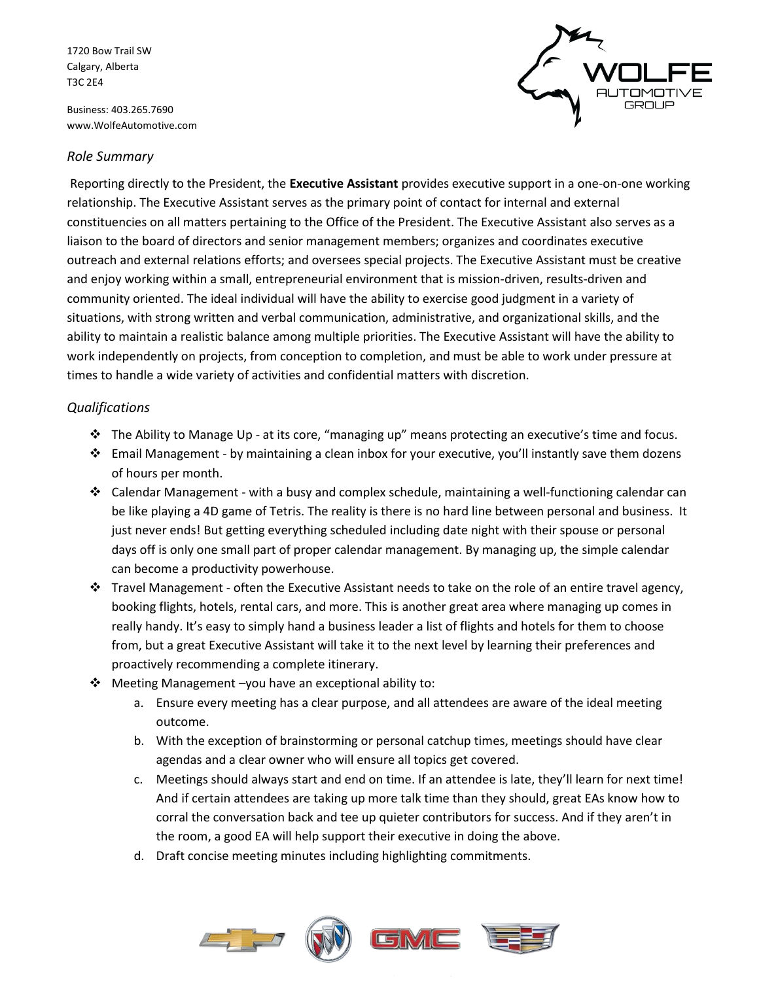1720 Bow Trail SW Calgary, Alberta T3C 2E4

Business: 403.265.7690 www.WolfeAutomotive.com



## *Role Summary*

Reporting directly to the President, the **Executive Assistant** provides executive support in a one-on-one working relationship. The Executive Assistant serves as the primary point of contact for internal and external constituencies on all matters pertaining to the Office of the President. The Executive Assistant also serves as a liaison to the board of directors and senior management members; organizes and coordinates executive outreach and external relations efforts; and oversees special projects. The Executive Assistant must be creative and enjoy working within a small, entrepreneurial environment that is mission-driven, results-driven and community oriented. The ideal individual will have the ability to exercise good judgment in a variety of situations, with strong written and verbal communication, administrative, and organizational skills, and the ability to maintain a realistic balance among multiple priorities. The Executive Assistant will have the ability to work independently on projects, from conception to completion, and must be able to work under pressure at times to handle a wide variety of activities and confidential matters with discretion.

## *Qualifications*

- ❖ The Ability to Manage Up at its core, "managing up" means protecting an executive's time and focus.
- ❖ Email Management by maintaining a clean inbox for your executive, you'll instantly save them dozens of hours per month.
- ❖ Calendar Management with a busy and complex schedule, maintaining a well-functioning calendar can be like playing a 4D game of Tetris. The reality is there is no hard line between personal and business. It just never ends! But getting everything scheduled including date night with their spouse or personal days off is only one small part of proper calendar management. By managing up, the simple calendar can become a productivity powerhouse.
- ❖ Travel Management often the Executive Assistant needs to take on the role of an entire travel agency, booking flights, hotels, rental cars, and more. This is another great area where managing up comes in really handy. It's easy to simply hand a business leader a list of flights and hotels for them to choose from, but a great Executive Assistant will take it to the next level by learning their preferences and proactively recommending a complete itinerary.
- ❖ Meeting Management –you have an exceptional ability to:
	- a. Ensure every meeting has a clear purpose, and all attendees are aware of the ideal meeting outcome.
	- b. With the exception of brainstorming or personal catchup times, meetings should have clear agendas and a clear owner who will ensure all topics get covered.
	- c. Meetings should always start and end on time. If an attendee is late, they'll learn for next time! And if certain attendees are taking up more talk time than they should, great EAs know how to corral the conversation back and tee up quieter contributors for success. And if they aren't in the room, a good EA will help support their executive in doing the above.
	- d. Draft concise meeting minutes including highlighting commitments.

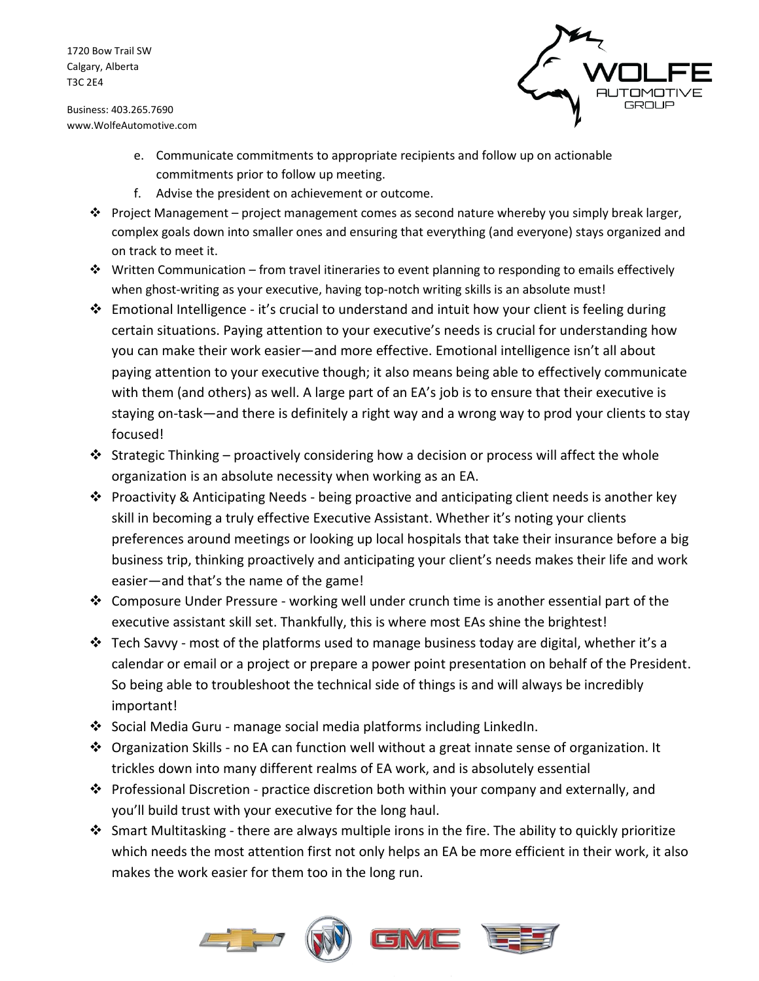1720 Bow Trail SW Calgary, Alberta T3C 2E4

Business: 403.265.7690 www.WolfeAutomotive.com



- e. Communicate commitments to appropriate recipients and follow up on actionable commitments prior to follow up meeting.
- f. Advise the president on achievement or outcome.
- $\dots$  Project Management project management comes as second nature whereby you simply break larger, complex goals down into smaller ones and ensuring that everything (and everyone) stays organized and on track to meet it.
- ❖ Written Communication from travel itineraries to event planning to responding to emails effectively when ghost-writing as your executive, having top-notch writing skills is an absolute must!
- $\dots$  Emotional Intelligence it's crucial to understand and intuit how your client is feeling during certain situations. Paying attention to your executive's needs is crucial for understanding how you can make their work easier—and more effective. Emotional intelligence isn't all about paying attention to your executive though; it also means being able to effectively communicate with them (and others) as well. A large part of an EA's job is to ensure that their executive is staying on-task—and there is definitely a right way and a wrong way to prod your clients to stay focused!
- $\dots$  Strategic Thinking proactively considering how a decision or process will affect the whole organization is an absolute necessity when working as an EA.
- ❖ Proactivity & Anticipating Needs being proactive and anticipating client needs is another key skill in becoming a truly effective Executive Assistant. Whether it's noting your clients preferences around meetings or looking up local hospitals that take their insurance before a big business trip, thinking proactively and anticipating your client's needs makes their life and work easier—and that's the name of the game!
- ❖ Composure Under Pressure working well under crunch time is another essential part of the executive assistant skill set. Thankfully, this is where most EAs shine the brightest!
- $\dots$  Tech Savvy most of the platforms used to manage business today are digital, whether it's a calendar or email or a project or prepare a power point presentation on behalf of the President. So being able to troubleshoot the technical side of things is and will always be incredibly important!
- ❖ Social Media Guru manage social media platforms including LinkedIn.
- ❖ Organization Skills no EA can function well without a great innate sense of organization. It trickles down into many different realms of EA work, and is absolutely essential
- ❖ Professional Discretion practice discretion both within your company and externally, and you'll build trust with your executive for the long haul.
- ❖ Smart Multitasking there are always multiple irons in the fire. The ability to quickly prioritize which needs the most attention first not only helps an EA be more efficient in their work, it also makes the work easier for them too in the long run.